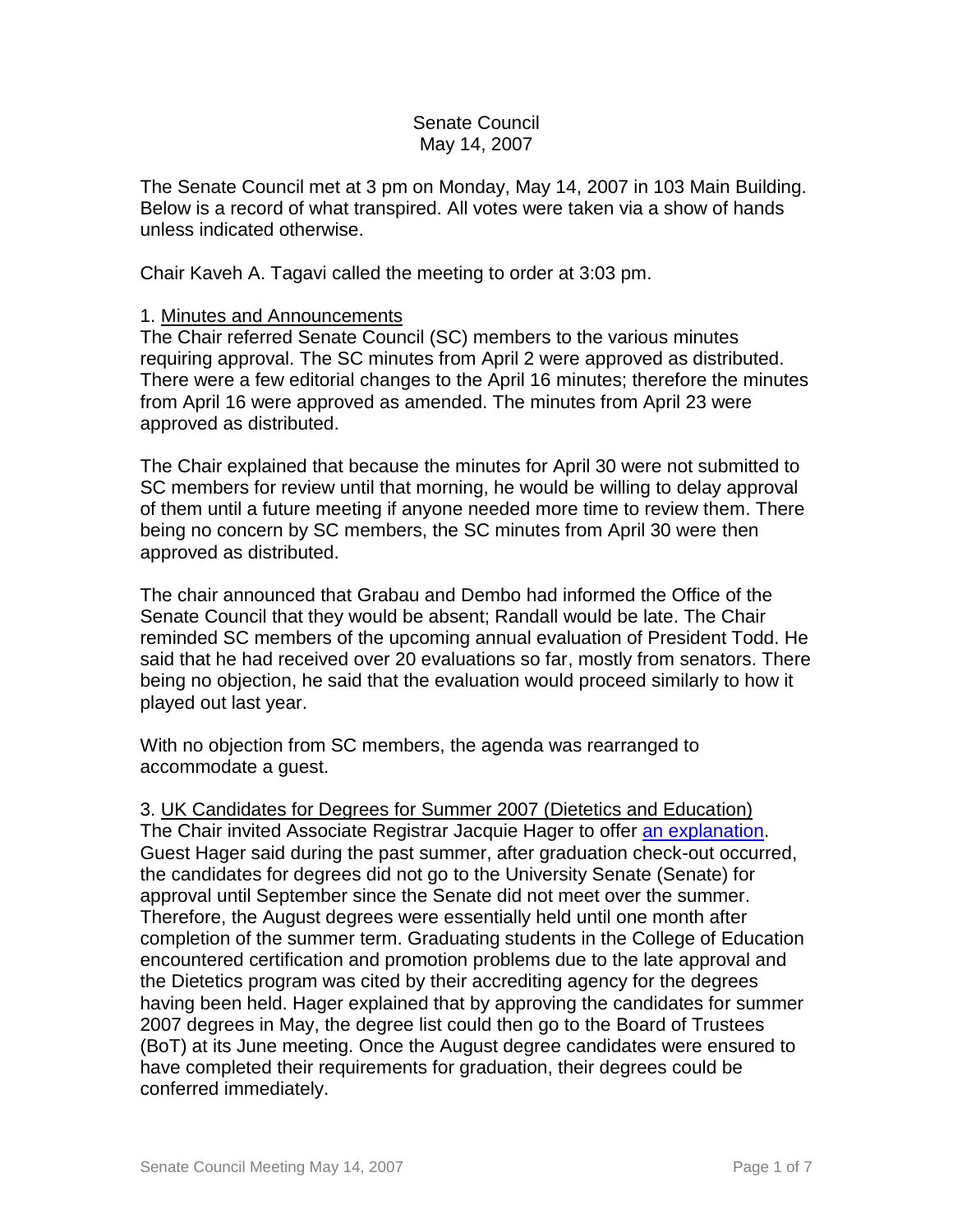### Senate Council May 14, 2007

The Senate Council met at 3 pm on Monday, May 14, 2007 in 103 Main Building. Below is a record of what transpired. All votes were taken via a show of hands unless indicated otherwise.

Chair Kaveh A. Tagavi called the meeting to order at 3:03 pm.

### 1. Minutes and Announcements

The Chair referred Senate Council (SC) members to the various minutes requiring approval. The SC minutes from April 2 were approved as distributed. There were a few editorial changes to the April 16 minutes; therefore the minutes from April 16 were approved as amended. The minutes from April 23 were approved as distributed.

The Chair explained that because the minutes for April 30 were not submitted to SC members for review until that morning, he would be willing to delay approval of them until a future meeting if anyone needed more time to review them. There being no concern by SC members, the SC minutes from April 30 were then approved as distributed.

The chair announced that Grabau and Dembo had informed the Office of the Senate Council that they would be absent; Randall would be late. The Chair reminded SC members of the upcoming annual evaluation of President Todd. He said that he had received over 20 evaluations so far, mostly from senators. There being no objection, he said that the evaluation would proceed similarly to how it played out last year.

With no objection from SC members, the agenda was rearranged to accommodate a guest.

# 3. UK Candidates for Degrees for Summer 2007 (Dietetics and Education) The Chair invited Associate Registrar Jacquie Hager to offer [an explanation.](http://www.uky.edu/USC/New/files/20070514/FW-August%20Degrees.pdf) Guest Hager said during the past summer, after graduation check-out occurred, the candidates for degrees did not go to the University Senate (Senate) for approval until September since the Senate did not meet over the summer. Therefore, the August degrees were essentially held until one month after completion of the summer term. Graduating students in the College of Education encountered certification and promotion problems due to the late approval and the Dietetics program was cited by their accrediting agency for the degrees having been held. Hager explained that by approving the candidates for summer 2007 degrees in May, the degree list could then go to the Board of Trustees (BoT) at its June meeting. Once the August degree candidates were ensured to have completed their requirements for graduation, their degrees could be conferred immediately.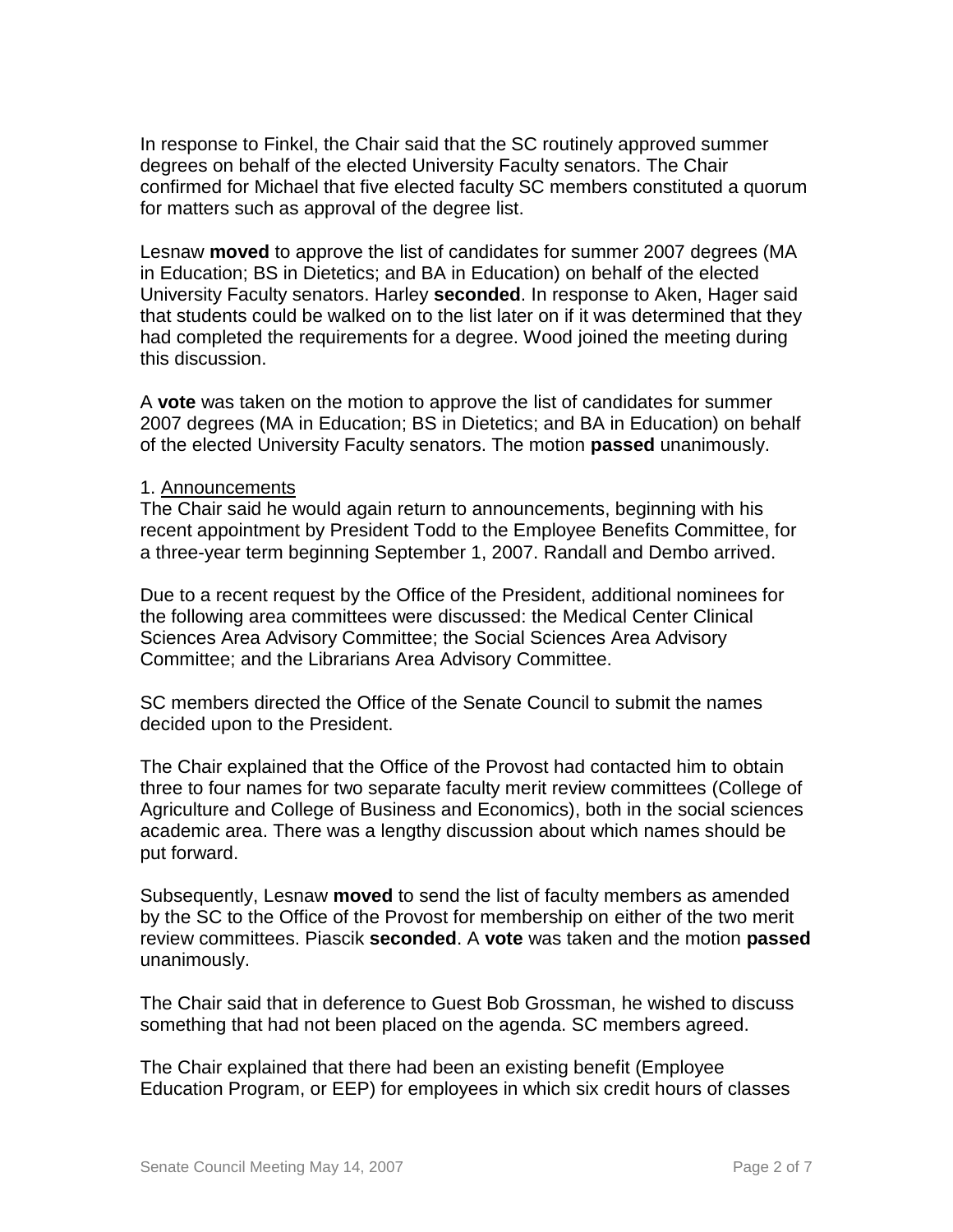In response to Finkel, the Chair said that the SC routinely approved summer degrees on behalf of the elected University Faculty senators. The Chair confirmed for Michael that five elected faculty SC members constituted a quorum for matters such as approval of the degree list.

Lesnaw **moved** to approve the list of candidates for summer 2007 degrees (MA in Education; BS in Dietetics; and BA in Education) on behalf of the elected University Faculty senators. Harley **seconded**. In response to Aken, Hager said that students could be walked on to the list later on if it was determined that they had completed the requirements for a degree. Wood joined the meeting during this discussion.

A **vote** was taken on the motion to approve the list of candidates for summer 2007 degrees (MA in Education; BS in Dietetics; and BA in Education) on behalf of the elected University Faculty senators. The motion **passed** unanimously.

#### 1. Announcements

The Chair said he would again return to announcements, beginning with his recent appointment by President Todd to the Employee Benefits Committee, for a three-year term beginning September 1, 2007. Randall and Dembo arrived.

Due to a recent request by the Office of the President, additional nominees for the following area committees were discussed: the Medical Center Clinical Sciences Area Advisory Committee; the Social Sciences Area Advisory Committee; and the Librarians Area Advisory Committee.

SC members directed the Office of the Senate Council to submit the names decided upon to the President.

The Chair explained that the Office of the Provost had contacted him to obtain three to four names for two separate faculty merit review committees (College of Agriculture and College of Business and Economics), both in the social sciences academic area. There was a lengthy discussion about which names should be put forward.

Subsequently, Lesnaw **moved** to send the list of faculty members as amended by the SC to the Office of the Provost for membership on either of the two merit review committees. Piascik **seconded**. A **vote** was taken and the motion **passed** unanimously.

The Chair said that in deference to Guest Bob Grossman, he wished to discuss something that had not been placed on the agenda. SC members agreed.

The Chair explained that there had been an existing benefit (Employee Education Program, or EEP) for employees in which six credit hours of classes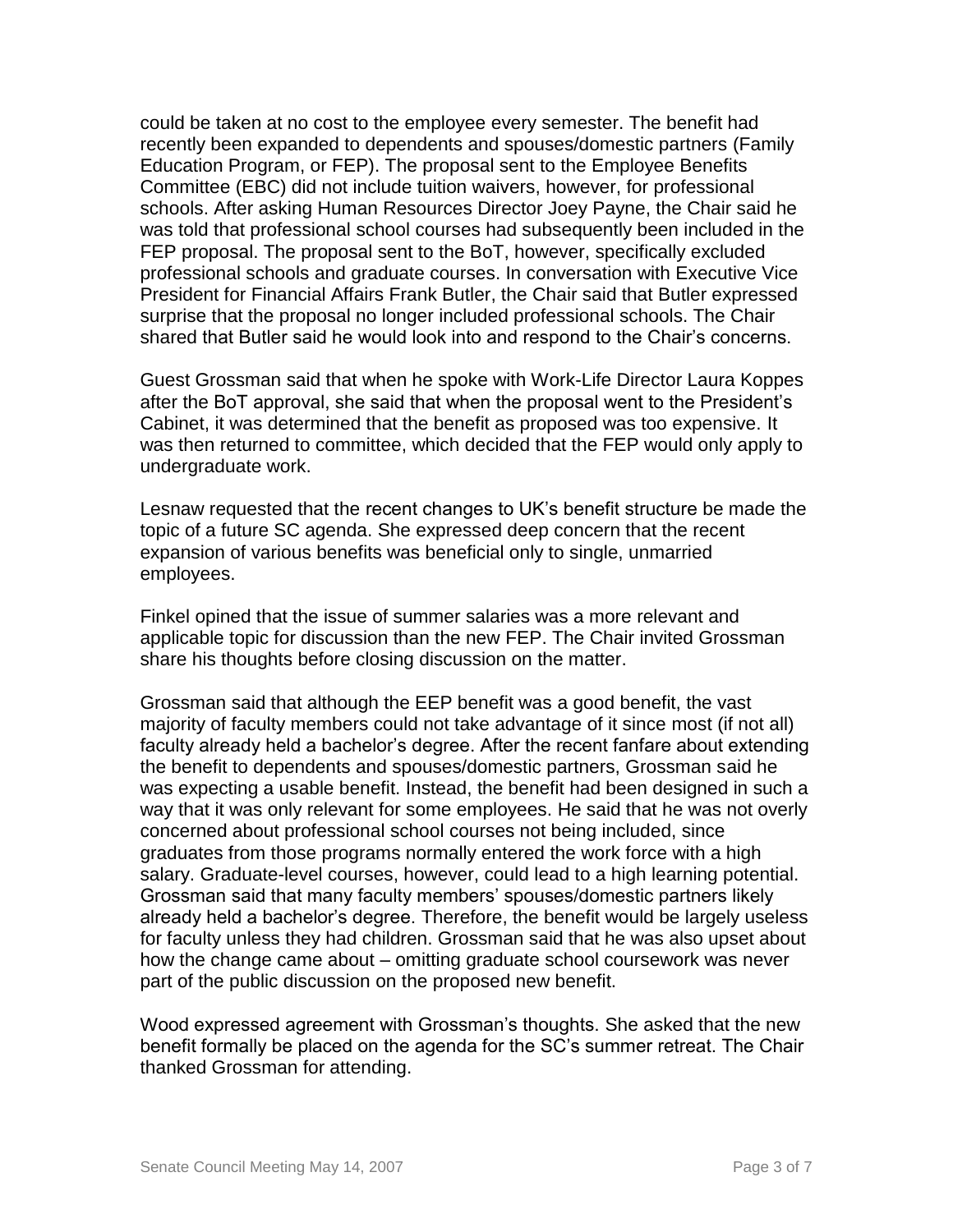could be taken at no cost to the employee every semester. The benefit had recently been expanded to dependents and spouses/domestic partners (Family Education Program, or FEP). The proposal sent to the Employee Benefits Committee (EBC) did not include tuition waivers, however, for professional schools. After asking Human Resources Director Joey Payne, the Chair said he was told that professional school courses had subsequently been included in the FEP proposal. The proposal sent to the BoT, however, specifically excluded professional schools and graduate courses. In conversation with Executive Vice President for Financial Affairs Frank Butler, the Chair said that Butler expressed surprise that the proposal no longer included professional schools. The Chair shared that Butler said he would look into and respond to the Chair's concerns.

Guest Grossman said that when he spoke with Work-Life Director Laura Koppes after the BoT approval, she said that when the proposal went to the President's Cabinet, it was determined that the benefit as proposed was too expensive. It was then returned to committee, which decided that the FEP would only apply to undergraduate work.

Lesnaw requested that the recent changes to UK's benefit structure be made the topic of a future SC agenda. She expressed deep concern that the recent expansion of various benefits was beneficial only to single, unmarried employees.

Finkel opined that the issue of summer salaries was a more relevant and applicable topic for discussion than the new FEP. The Chair invited Grossman share his thoughts before closing discussion on the matter.

Grossman said that although the EEP benefit was a good benefit, the vast majority of faculty members could not take advantage of it since most (if not all) faculty already held a bachelor's degree. After the recent fanfare about extending the benefit to dependents and spouses/domestic partners, Grossman said he was expecting a usable benefit. Instead, the benefit had been designed in such a way that it was only relevant for some employees. He said that he was not overly concerned about professional school courses not being included, since graduates from those programs normally entered the work force with a high salary. Graduate-level courses, however, could lead to a high learning potential. Grossman said that many faculty members' spouses/domestic partners likely already held a bachelor's degree. Therefore, the benefit would be largely useless for faculty unless they had children. Grossman said that he was also upset about how the change came about – omitting graduate school coursework was never part of the public discussion on the proposed new benefit.

Wood expressed agreement with Grossman's thoughts. She asked that the new benefit formally be placed on the agenda for the SC's summer retreat. The Chair thanked Grossman for attending.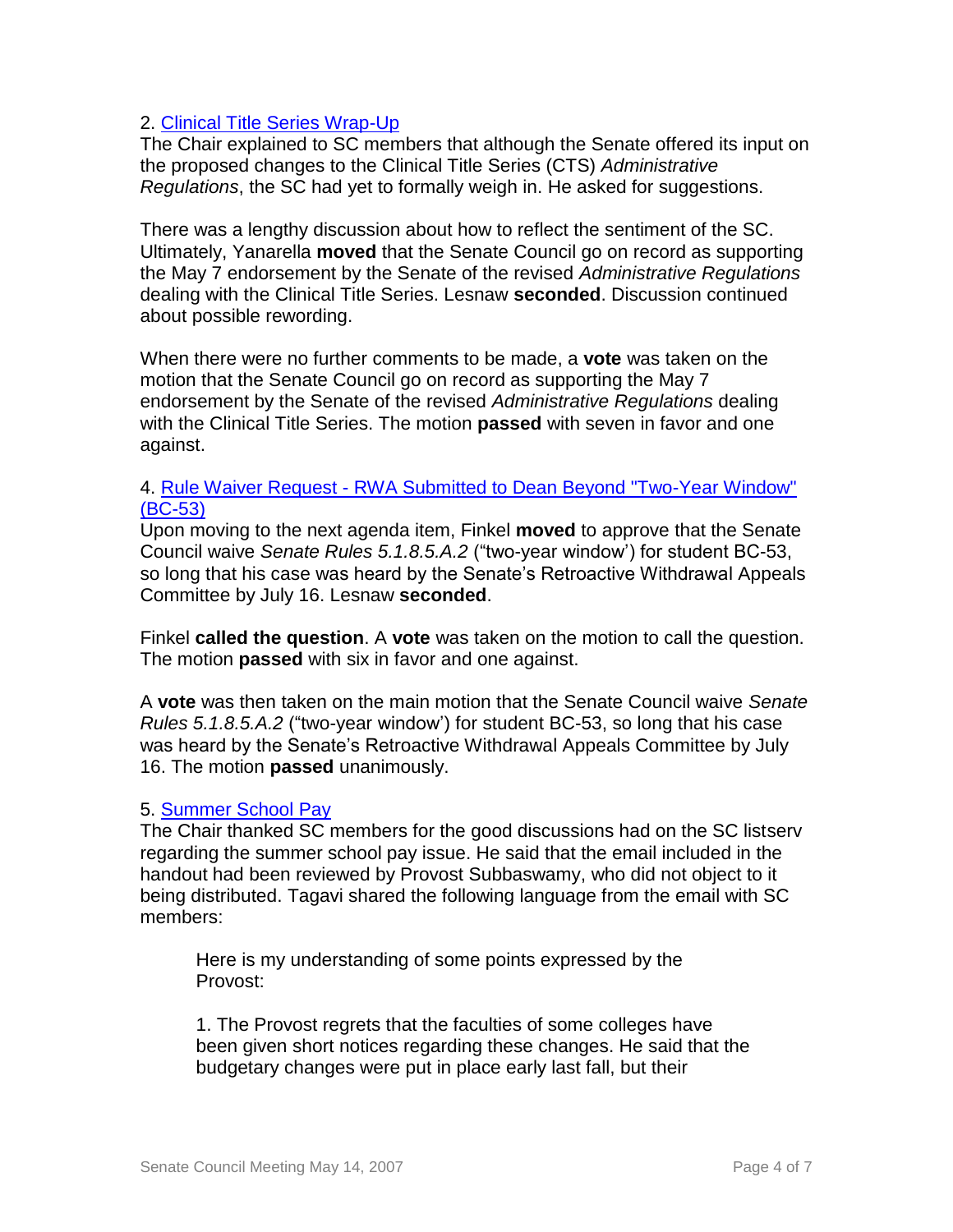# 2. [Clinical Title Series Wrap-Up](AR%20II-1%200-1%20-%20Page%20IX%20-%20Appt%20and%20Prom%20Clinical%20Title%20(DRAFT)%20Revised%20050407_KAT_USED%20IN%20MTG%20-%20NOT%20THE%20LINK%20ON%20POSTED%20US%20AGENDA.doc)

The Chair explained to SC members that although the Senate offered its input on the proposed changes to the Clinical Title Series (CTS) *Administrative Regulations*, the SC had yet to formally weigh in. He asked for suggestions.

There was a lengthy discussion about how to reflect the sentiment of the SC. Ultimately, Yanarella **moved** that the Senate Council go on record as supporting the May 7 endorsement by the Senate of the revised *Administrative Regulations* dealing with the Clinical Title Series. Lesnaw **seconded**. Discussion continued about possible rewording.

When there were no further comments to be made, a **vote** was taken on the motion that the Senate Council go on record as supporting the May 7 endorsement by the Senate of the revised *Administrative Regulations* dealing with the Clinical Title Series. The motion **passed** with seven in favor and one against.

#### 4. Rule Waiver Request - [RWA Submitted to Dean Beyond "Two-Year Window"](http://www.uky.edu/USC/New/files/20070514/BC-53%20Rule%20Waiver.pdf)  [\(BC-53\)](http://www.uky.edu/USC/New/files/20070514/BC-53%20Rule%20Waiver.pdf)

Upon moving to the next agenda item, Finkel **moved** to approve that the Senate Council waive *Senate Rules 5.1.8.5.A.2* ("two-year window') for student BC-53, so long that his case was heard by the Senate's Retroactive Withdrawal Appeals Committee by July 16. Lesnaw **seconded**.

Finkel **called the question**. A **vote** was taken on the motion to call the question. The motion **passed** with six in favor and one against.

A **vote** was then taken on the main motion that the Senate Council waive *Senate Rules 5.1.8.5.A.2* ("two-year window') for student BC-53, so long that his case was heard by the Senate's Retroactive Withdrawal Appeals Committee by July 16. The motion **passed** unanimously.

#### 5. [Summer School Pay](http://www.uky.edu/USC/New/files/20070514/FW-summer%20school.pdf)

The Chair thanked SC members for the good discussions had on the SC listserv regarding the summer school pay issue. He said that the email included in the handout had been reviewed by Provost Subbaswamy, who did not object to it being distributed. Tagavi shared the following language from the email with SC members:

Here is my understanding of some points expressed by the Provost:

1. The Provost regrets that the faculties of some colleges have been given short notices regarding these changes. He said that the budgetary changes were put in place early last fall, but their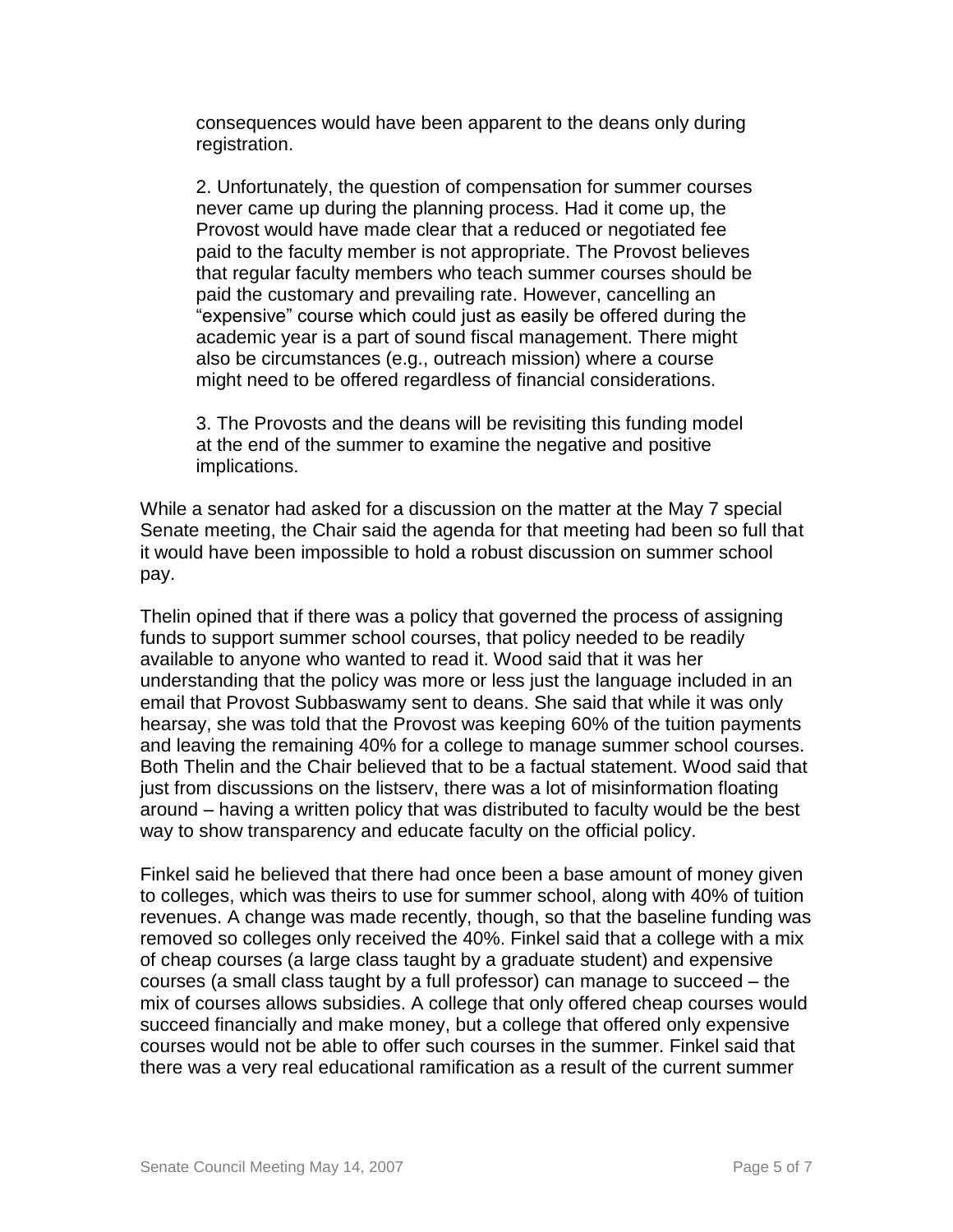consequences would have been apparent to the deans only during registration.

2. Unfortunately, the question of compensation for summer courses never came up during the planning process. Had it come up, the Provost would have made clear that a reduced or negotiated fee paid to the faculty member is not appropriate. The Provost believes that regular faculty members who teach summer courses should be paid the customary and prevailing rate. However, cancelling an "expensive" course which could just as easily be offered during the academic year is a part of sound fiscal management. There might also be circumstances (e.g., outreach mission) where a course might need to be offered regardless of financial considerations.

3. The Provosts and the deans will be revisiting this funding model at the end of the summer to examine the negative and positive implications.

While a senator had asked for a discussion on the matter at the May 7 special Senate meeting, the Chair said the agenda for that meeting had been so full that it would have been impossible to hold a robust discussion on summer school pay.

Thelin opined that if there was a policy that governed the process of assigning funds to support summer school courses, that policy needed to be readily available to anyone who wanted to read it. Wood said that it was her understanding that the policy was more or less just the language included in an email that Provost Subbaswamy sent to deans. She said that while it was only hearsay, she was told that the Provost was keeping 60% of the tuition payments and leaving the remaining 40% for a college to manage summer school courses. Both Thelin and the Chair believed that to be a factual statement. Wood said that just from discussions on the listserv, there was a lot of misinformation floating around – having a written policy that was distributed to faculty would be the best way to show transparency and educate faculty on the official policy.

Finkel said he believed that there had once been a base amount of money given to colleges, which was theirs to use for summer school, along with 40% of tuition revenues. A change was made recently, though, so that the baseline funding was removed so colleges only received the 40%. Finkel said that a college with a mix of cheap courses (a large class taught by a graduate student) and expensive courses (a small class taught by a full professor) can manage to succeed – the mix of courses allows subsidies. A college that only offered cheap courses would succeed financially and make money, but a college that offered only expensive courses would not be able to offer such courses in the summer. Finkel said that there was a very real educational ramification as a result of the current summer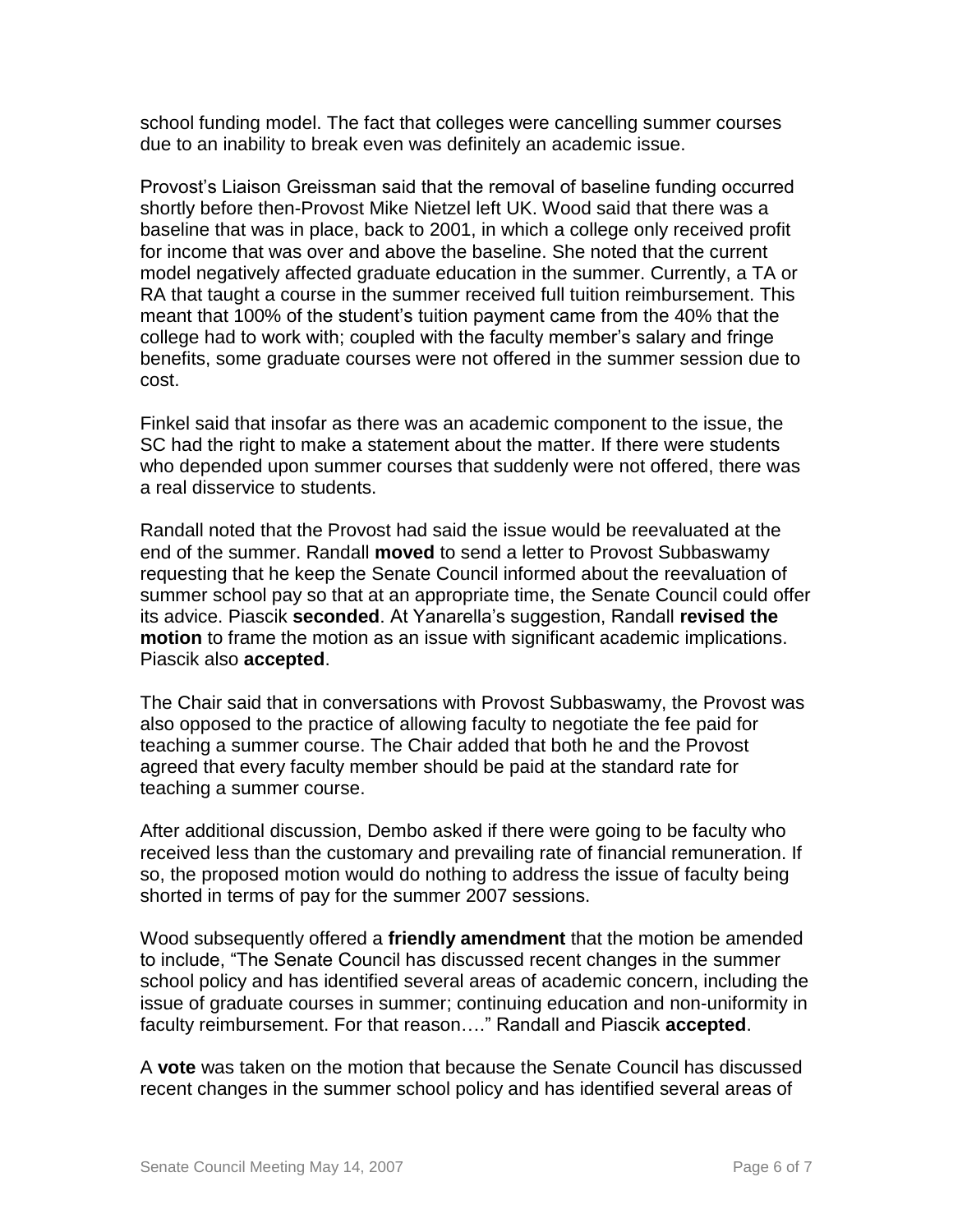school funding model. The fact that colleges were cancelling summer courses due to an inability to break even was definitely an academic issue.

Provost's Liaison Greissman said that the removal of baseline funding occurred shortly before then-Provost Mike Nietzel left UK. Wood said that there was a baseline that was in place, back to 2001, in which a college only received profit for income that was over and above the baseline. She noted that the current model negatively affected graduate education in the summer. Currently, a TA or RA that taught a course in the summer received full tuition reimbursement. This meant that 100% of the student's tuition payment came from the 40% that the college had to work with; coupled with the faculty member's salary and fringe benefits, some graduate courses were not offered in the summer session due to cost.

Finkel said that insofar as there was an academic component to the issue, the SC had the right to make a statement about the matter. If there were students who depended upon summer courses that suddenly were not offered, there was a real disservice to students.

Randall noted that the Provost had said the issue would be reevaluated at the end of the summer. Randall **moved** to send a letter to Provost Subbaswamy requesting that he keep the Senate Council informed about the reevaluation of summer school pay so that at an appropriate time, the Senate Council could offer its advice. Piascik **seconded**. At Yanarella's suggestion, Randall **revised the motion** to frame the motion as an issue with significant academic implications. Piascik also **accepted**.

The Chair said that in conversations with Provost Subbaswamy, the Provost was also opposed to the practice of allowing faculty to negotiate the fee paid for teaching a summer course. The Chair added that both he and the Provost agreed that every faculty member should be paid at the standard rate for teaching a summer course.

After additional discussion, Dembo asked if there were going to be faculty who received less than the customary and prevailing rate of financial remuneration. If so, the proposed motion would do nothing to address the issue of faculty being shorted in terms of pay for the summer 2007 sessions.

Wood subsequently offered a **friendly amendment** that the motion be amended to include, "The Senate Council has discussed recent changes in the summer school policy and has identified several areas of academic concern, including the issue of graduate courses in summer; continuing education and non-uniformity in faculty reimbursement. For that reason…." Randall and Piascik **accepted**.

A **vote** was taken on the motion that because the Senate Council has discussed recent changes in the summer school policy and has identified several areas of